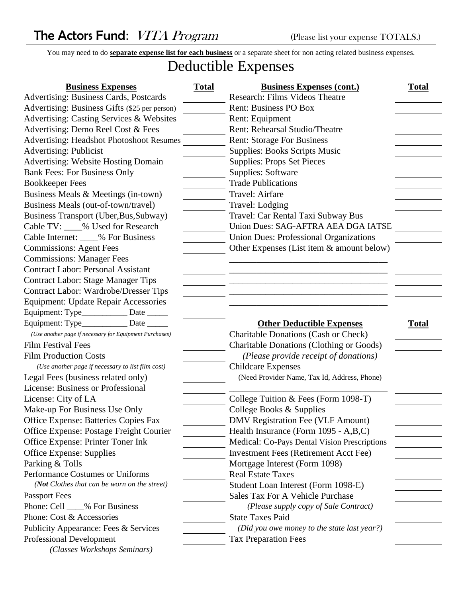## The Actors Fund: VITA Program (Please list your expense TOTALS.)

You may need to do **separate expense list for each business** or a separate sheet for non acting related business expenses.

## Deductible Expenses

| <b>Business Expenses</b>                                | <b>Total</b> | <b>Business Expenses (cont.)</b>              | <b>Total</b> |
|---------------------------------------------------------|--------------|-----------------------------------------------|--------------|
| Advertising: Business Cards, Postcards                  |              | Research: Films Videos Theatre                |              |
| Advertising: Business Gifts (\$25 per person)           |              | <b>Rent: Business PO Box</b>                  |              |
| Advertising: Casting Services & Websites                |              | Rent: Equipment                               |              |
| Advertising: Demo Reel Cost & Fees                      |              | Rent: Rehearsal Studio/Theatre                |              |
| <b>Advertising: Headshot Photoshoot Resumes</b>         |              | <b>Rent: Storage For Business</b>             |              |
| <b>Advertising: Publicist</b>                           |              | <b>Supplies: Books Scripts Music</b>          |              |
| Advertising: Website Hosting Domain                     |              | <b>Supplies: Props Set Pieces</b>             |              |
| <b>Bank Fees: For Business Only</b>                     |              | <b>Supplies: Software</b>                     |              |
| <b>Bookkeeper Fees</b>                                  |              | <b>Trade Publications</b>                     |              |
| Business Meals & Meetings (in-town)                     |              | Travel: Airfare                               |              |
| Business Meals (out-of-town/travel)                     |              | Travel: Lodging                               |              |
| Business Transport (Uber, Bus, Subway)                  |              | Travel: Car Rental Taxi Subway Bus            |              |
| Cable TV: ____% Used for Research                       |              | Union Dues: SAG-AFTRA AEA DGA IATSE           |              |
| Cable Internet: ____% For Business                      |              | <b>Union Dues: Professional Organizations</b> |              |
| <b>Commissions: Agent Fees</b>                          |              | Other Expenses (List item & amount below)     |              |
| <b>Commissions: Manager Fees</b>                        |              |                                               |              |
| <b>Contract Labor: Personal Assistant</b>               |              |                                               |              |
| <b>Contract Labor: Stage Manager Tips</b>               |              |                                               |              |
| <b>Contract Labor: Wardrobe/Dresser Tips</b>            |              |                                               |              |
| Equipment: Update Repair Accessories                    |              |                                               |              |
| Equipment: Type______________ Date ______               |              |                                               |              |
| Equipment: Type_____________ Date ______                |              | <b>Other Deductible Expenses</b>              | <b>Total</b> |
| (Use another page if necessary for Equipment Purchases) |              | Charitable Donations (Cash or Check)          |              |
| <b>Film Festival Fees</b>                               |              | Charitable Donations (Clothing or Goods)      |              |
| <b>Film Production Costs</b>                            |              | (Please provide receipt of donations)         |              |
| (Use another page if necessary to list film cost)       |              | <b>Childcare Expenses</b>                     |              |
| Legal Fees (business related only)                      |              | (Need Provider Name, Tax Id, Address, Phone)  |              |
| <b>License: Business or Professional</b>                |              |                                               |              |
| License: City of LA                                     |              | College Tuition & Fees (Form 1098-T)          |              |
| Make-up For Business Use Only                           |              | College Books & Supplies                      |              |
| Office Expense: Batteries Copies Fax                    |              | <b>DMV Registration Fee (VLF Amount)</b>      |              |
| Office Expense: Postage Freight Courier                 |              | Health Insurance (Form 1095 - A,B,C)          |              |
| Office Expense: Printer Toner Ink                       |              | Medical: Co-Pays Dental Vision Prescriptions  |              |
| Office Expense: Supplies                                |              | <b>Investment Fees (Retirement Acct Fee)</b>  |              |
| Parking & Tolls                                         |              | Mortgage Interest (Form 1098)                 |              |
| Performance Costumes or Uniforms                        |              | <b>Real Estate Taxes</b>                      |              |
| (Not Clothes that can be worn on the street)            |              | Student Loan Interest (Form 1098-E)           |              |
| <b>Passport Fees</b>                                    |              | Sales Tax For A Vehicle Purchase              |              |
| Phone: Cell ____% For Business                          |              | (Please supply copy of Sale Contract)         |              |
| Phone: Cost & Accessories                               |              | <b>State Taxes Paid</b>                       |              |
| Publicity Appearance: Fees & Services                   |              | (Did you owe money to the state last year?)   |              |
| <b>Professional Development</b>                         |              | <b>Tax Preparation Fees</b>                   |              |
| (Classes Workshops Seminars)                            |              |                                               |              |